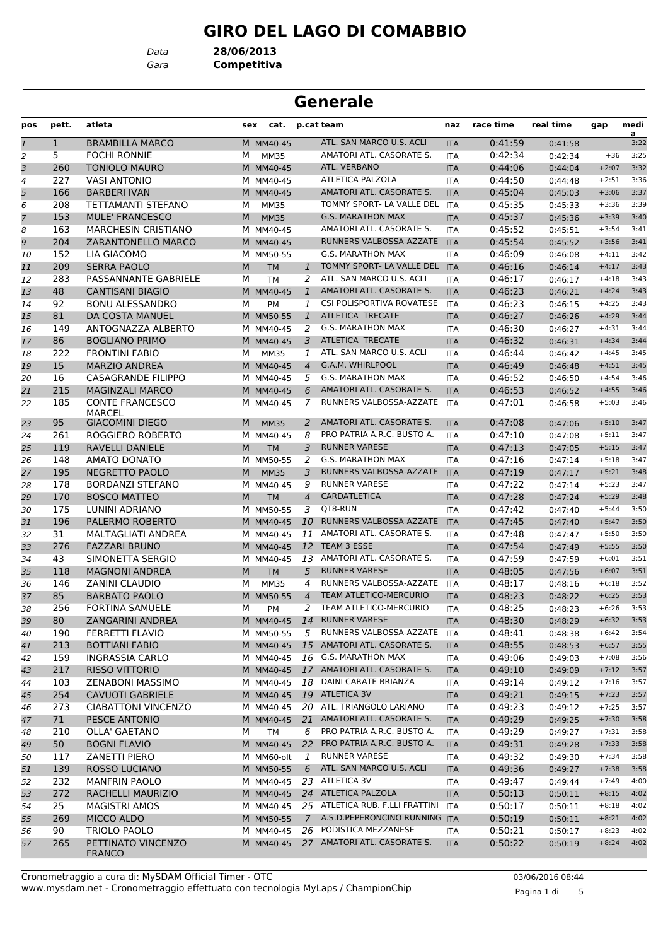# **GIRO DEL LAGO DI COMABBIO**

*Data* **28/06/2013**

*Gara* **Competitiva**

# **Generale**

| pos            | pett.        | atleta                                  | sex | cat.        |                | p.cat team                      | naz               | race time | real time          | gap     | medi                   |
|----------------|--------------|-----------------------------------------|-----|-------------|----------------|---------------------------------|-------------------|-----------|--------------------|---------|------------------------|
| $\mathbf{1}$   | $\mathbf{1}$ | <b>BRAMBILLA MARCO</b>                  |     | M MM40-45   |                | ATL. SAN MARCO U.S. ACLI        | <b>ITA</b>        | 0:41:59   | 0:41:58            |         | $\overline{a}$<br>3:22 |
| $\overline{c}$ | 5.           | <b>FOCHI RONNIE</b>                     | м   | <b>MM35</b> |                | AMATORI ATL. CASORATE S.        | <b>ITA</b>        | 0:42:34   | 0:42:34            | $+36$   | 3:25                   |
| 3              | 260          | <b>TONIOLO MAURO</b>                    |     | M MM40-45   |                | ATL. VERBANO                    | <b>ITA</b>        | 0:44:06   | 0:44:04            | $+2:07$ | 3:32                   |
| 4              | 227          | <b>VASI ANTONIO</b>                     |     | M MM40-45   |                | <b>ATLETICA PALZOLA</b>         | <b>ITA</b>        | 0:44:50   | 0:44:48            | $+2:51$ | 3:36                   |
| 5              | 166          | <b>BARBERI IVAN</b>                     |     | M MM40-45   |                | AMATORI ATL. CASORATE S.        | <b>ITA</b>        | 0:45:04   | 0:45:03            | $+3:06$ | 3:37                   |
| 6              | 208          | TETTAMANTI STEFANO                      | м   | MM35        |                | TOMMY SPORT- LA VALLE DEL       | <b>ITA</b>        | 0:45:35   | 0:45:33            | $+3:36$ | 3:39                   |
| $\overline{7}$ | 153          | <b>MULE' FRANCESCO</b>                  | M   | <b>MM35</b> |                | <b>G.S. MARATHON MAX</b>        | <b>ITA</b>        | 0:45:37   | 0:45:36            | $+3:39$ | 3:40                   |
| 8              | 163          | <b>MARCHESIN CRISTIANO</b>              |     | M MM40-45   |                | AMATORI ATL. CASORATE S.        | <b>ITA</b>        | 0:45:52   | 0:45:51            | $+3:54$ | 3:41                   |
| 9              | 204          | ZARANTONELLO MARCO                      |     | M MM40-45   |                | RUNNERS VALBOSSA-AZZATE         | <b>ITA</b>        | 0:45:54   | 0:45:52            | $+3:56$ | 3:41                   |
| 10             | 152          | LIA GIACOMO                             |     | M MM50-55   |                | <b>G.S. MARATHON MAX</b>        | ITA               | 0:46:09   | 0:46:08            | $+4:11$ | 3:42                   |
| 11             | 209          | <b>SERRA PAOLO</b>                      | M   | <b>TM</b>   | 1              | TOMMY SPORT- LA VALLE DEL       | <b>ITA</b>        | 0:46:16   | 0:46:14            | $+4:17$ | 3:43                   |
| 12             | 283          | PASSANNANTE GABRIELE                    | м   | <b>TM</b>   | 2              | ATL. SAN MARCO U.S. ACLI        | ITA               | 0:46:17   | 0:46:17            | $+4:18$ | 3:43                   |
| 13             | 48           | <b>CANTISANI BIAGIO</b>                 |     | M MM40-45   | $\mathbf{1}$   | AMATORI ATL. CASORATE S.        | <b>ITA</b>        | 0:46:23   | 0:46:21            | $+4:24$ | 3:43                   |
| 14             | 92           | <b>BONU ALESSANDRO</b>                  | М   | PM          | 1              | CSI POLISPORTIVA ROVATESE       | <b>ITA</b>        | 0:46:23   | 0:46:15            | $+4:25$ | 3:43                   |
| 15             | 81           | DA COSTA MANUEL                         |     | M MM50-55   | $\mathbf{1}$   | ATLETICA TRECATE                | <b>ITA</b>        | 0:46:27   | 0:46:26            | $+4:29$ | 3:44                   |
| 16             | 149          | ANTOGNAZZA ALBERTO                      |     | M MM40-45   | 2              | <b>G.S. MARATHON MAX</b>        | ITA               | 0:46:30   | 0:46:27            | $+4:31$ | 3:44                   |
| 17             | 86           | <b>BOGLIANO PRIMO</b>                   |     | M MM40-45   | 3              | ATLETICA TRECATE                | <b>ITA</b>        | 0:46:32   | 0:46:31            | $+4:34$ | 3:44                   |
| 18             | 222          | <b>FRONTINI FABIO</b>                   | м   | MM35        | 1              | ATL. SAN MARCO U.S. ACLI        | ITA               | 0:46:44   | 0:46:42            | $+4:45$ | 3:45                   |
| 19             | 15           | <b>MARZIO ANDREA</b>                    |     | M MM40-45   | $\overline{4}$ | G.A.M. WHIRLPOOL                | <b>ITA</b>        | 0:46:49   | 0:46:48            | $+4:51$ | 3:45                   |
|                | 16           | CASAGRANDE FILIPPO                      |     | M MM40-45   | 5              | <b>G.S. MARATHON MAX</b>        |                   | 0:46:52   |                    | $+4:54$ | 3:46                   |
| 20             | 215          | <b>MAGINZALI MARCO</b>                  |     |             |                | AMATORI ATL. CASORATE S.        | <b>ITA</b>        | 0:46:53   | 0:46:50            | $+4:55$ | 3:46                   |
| 21             |              |                                         |     | M MM40-45   | 6              | RUNNERS VALBOSSA-AZZATE         | <b>ITA</b>        |           | 0:46:52            |         |                        |
| 22             | 185          | <b>CONTE FRANCESCO</b><br><b>MARCEL</b> |     | M MM40-45   | 7              |                                 | ITA               | 0:47:01   | 0:46:58            | $+5:03$ | 3:46                   |
| 23             | 95           | <b>GIACOMINI DIEGO</b>                  | M   | <b>MM35</b> | 2              | AMATORI ATL. CASORATE S.        | <b>ITA</b>        | 0:47:08   | 0:47:06            | $+5:10$ | 3:47                   |
| 24             | 261          | ROGGIERO ROBERTO                        |     | M MM40-45   | 8              | PRO PATRIA A.R.C. BUSTO A.      | <b>ITA</b>        | 0:47:10   | 0:47:08            | $+5:11$ | 3:47                   |
| 25             | 119          | RAVELLI DANIELE                         | M   | <b>TM</b>   | 3              | <b>RUNNER VARESE</b>            | <b>ITA</b>        | 0:47:13   | 0:47:05            | $+5:15$ | 3:47                   |
| 26             | 148          | AMATO DONATO                            |     | M MM50-55   | 2              | <b>G.S. MARATHON MAX</b>        | <b>ITA</b>        | 0:47:16   | 0:47:14            | $+5:18$ | 3:47                   |
| 27             | 195          | <b>NEGRETTO PAOLO</b>                   | M   | <b>MM35</b> | 3              | RUNNERS VALBOSSA-AZZATE         | <b>ITA</b>        | 0:47:19   | 0:47:17            | $+5:21$ | 3:48                   |
| 28             | 178          | <b>BORDANZI STEFANO</b>                 |     | M MM40-45   | 9              | <b>RUNNER VARESE</b>            | ITA               | 0:47:22   | 0:47:14            | $+5:23$ | 3:47                   |
| 29             | 170          | <b>BOSCO MATTEO</b>                     | M   | <b>TM</b>   | $\overline{4}$ | CARDATLETICA                    | <b>ITA</b>        | 0:47:28   | 0:47:24            | $+5:29$ | 3:48                   |
| 30             | 175          | LUNINI ADRIANO                          |     | M MM50-55   | 3              | QT8-RUN                         | ITA               | 0:47:42   | 0:47:40            | $+5:44$ | 3:50                   |
| 31             | 196          | PALERMO ROBERTO                         |     | M MM40-45   | 10             | RUNNERS VALBOSSA-AZZATE         | <b>ITA</b>        | 0:47:45   | 0:47:40            | $+5:47$ | 3:50                   |
| 32             | 31           | MALTAGLIATI ANDREA                      |     | M MM40-45   | 11             | AMATORI ATL. CASORATE S.        | <b>ITA</b>        | 0:47:48   | 0:47:47            | $+5:50$ | 3:50                   |
| 33             | 276          | <b>FAZZARI BRUNO</b>                    |     | M MM40-45   | 12             | TEAM 3 ESSE                     | <b>ITA</b>        | 0:47:54   | 0:47:49            | $+5:55$ | 3:50                   |
| 34             | 43           | SIMONETTA SERGIO                        |     | M MM40-45   | 13             | AMATORI ATL. CASORATE S.        | <b>ITA</b>        | 0:47:59   | 0:47:59            | $+6:01$ | 3:51                   |
| 35             | 118          | <b>MAGNONI ANDREA</b>                   | M   | <b>TM</b>   | 5              | <b>RUNNER VARESE</b>            | <b>ITA</b>        | 0:48:05   | 0:47:56            | $+6:07$ | 3:51                   |
| 36             | 146          | <b>ZANINI CLAUDIO</b>                   | м   | <b>MM35</b> | 4              | RUNNERS VALBOSSA-AZZATE         | <b>ITA</b>        | 0:48:17   | 0:48:16            | $+6:18$ | 3:52                   |
| 37             | 85           | <b>BARBATO PAOLO</b>                    |     | M MM50-55   | $\overline{4}$ | <b>TEAM ATLETICO-MERCURIO</b>   | <b>ITA</b>        | 0:48:23   | 0:48:22            | $+6:25$ | 3:53                   |
| 38             | 256          | <b>FORTINA SAMUELE</b>                  | М   | PM          | 2              | TEAM ATLETICO-MERCURIO          | <b>ITA</b>        | 0:48:25   | 0:48:23            | $+6:26$ | 3:53                   |
| 39             | 80           | ZANGARINI ANDREA                        |     | M MM40-45   |                | 14 RUNNER VARESE                |                   | 0:48:30   | 0:48:29            | $+6:32$ | 3:53                   |
|                | 190          | FERRETTI FLAVIO                         |     | M MM50-55   | 5              | RUNNERS VALBOSSA-AZZATE         | <b>ITA</b><br>ITA | 0:48:41   |                    | $+6:42$ | 3:54                   |
| 40             | 213          | <b>BOTTIANI FABIO</b>                   |     | M MM40-45   |                | 15 AMATORI ATL. CASORATE S.     | <b>ITA</b>        | 0:48:55   | 0:48:38<br>0:48:53 | $+6:57$ | 3:55                   |
| 41             |              | <b>INGRASSIA CARLO</b>                  |     | M MM40-45   |                | 16 G.S. MARATHON MAX            |                   |           |                    | $+7:08$ | 3:56                   |
| 42             | 159          |                                         |     |             |                | 17 AMATORI ATL. CASORATE S.     | ITA               | 0:49:06   | 0:49:03            |         |                        |
| 43             | 217          | <b>RISSO VITTORIO</b>                   |     | M MM40-45   |                | DAINI CARATE BRIANZA            | <b>ITA</b>        | 0:49:10   | 0:49:09            | $+7:12$ | 3:57                   |
| 44             | 103          | <b>ZENABONI MASSIMO</b>                 |     | M MM40-45   | 18             |                                 | ITA               | 0:49:14   | 0:49:12            | $+7:16$ | 3:57                   |
| 45             | 254          | <b>CAVUOTI GABRIELE</b>                 |     | M MM40-45   |                | 19 ATLETICA 3V                  | <b>ITA</b>        | 0:49:21   | 0:49:15            | $+7:23$ | 3:57                   |
| 46             | 273          | <b>CIABATTONI VINCENZO</b>              |     | M MM40-45   |                | 20 ATL. TRIANGOLO LARIANO       | ITA               | 0:49:23   | 0:49:12            | $+7:25$ | 3:57                   |
| 47             | 71           | PESCE ANTONIO                           |     | M MM40-45   |                | 21 AMATORI ATL. CASORATE S.     | <b>ITA</b>        | 0:49:29   | 0:49:25            | $+7:30$ | 3:58                   |
| 48             | 210          | <b>OLLA' GAETANO</b>                    | м   | <b>TM</b>   | 6              | PRO PATRIA A.R.C. BUSTO A.      | ITA               | 0:49:29   | 0:49:27            | $+7:31$ | 3:58                   |
| 49             | 50           | <b>BOGNI FLAVIO</b>                     |     | M MM40-45   |                | 22 PRO PATRIA A.R.C. BUSTO A.   | <b>ITA</b>        | 0:49:31   | 0:49:28            | $+7:33$ | 3:58                   |
| 50             | 117          | ZANETTI PIERO                           |     | M MM60-olt  | 1              | <b>RUNNER VARESE</b>            | ITA               | 0:49:32   | 0:49:30            | $+7:34$ | 3:58                   |
| 51             | 139          | ROSSO LUCIANO                           |     | M MM50-55   | 6              | ATL. SAN MARCO U.S. ACLI        | <b>ITA</b>        | 0:49:36   | 0:49:27            | $+7:38$ | 3:58                   |
| 52             | 232          | <b>MANFRIN PAOLO</b>                    |     | M MM40-45   | 23             | ATLETICA 3V                     | ITA               | 0:49:47   | 0:49:44            | $+7:49$ | 4:00                   |
| 53             | 272          | RACHELLI MAURIZIO                       |     | M MM40-45   |                | 24 ATLETICA PALZOLA             | <b>ITA</b>        | 0:50:13   | 0:50:11            | $+8:15$ | 4:02                   |
| 54             | 25           | <b>MAGISTRI AMOS</b>                    |     | M MM40-45   |                | 25 ATLETICA RUB. F.LLI FRATTINI | ITA               | 0:50:17   | 0:50:11            | $+8:18$ | 4:02                   |
| 55             | 269          | MICCO ALDO                              |     | M MM50-55   | $7^{\circ}$    | A.S.D.PEPERONCINO RUNNING ITA   |                   | 0:50:19   | 0:50:11            | $+8:21$ | 4:02                   |
| 56             | 90           | TRIOLO PAOLO                            |     | M MM40-45   |                | 26 PODISTICA MEZZANESE          | ITA               | 0:50:21   | 0:50:17            | $+8:23$ | 4:02                   |
| 57             | 265          | PETTINATO VINCENZO<br><b>FRANCO</b>     |     | M MM40-45   |                | 27 AMATORI ATL. CASORATE S.     | <b>ITA</b>        | 0:50:22   | 0:50:19            | $+8:24$ | 4:02                   |

Pagina 1 di 5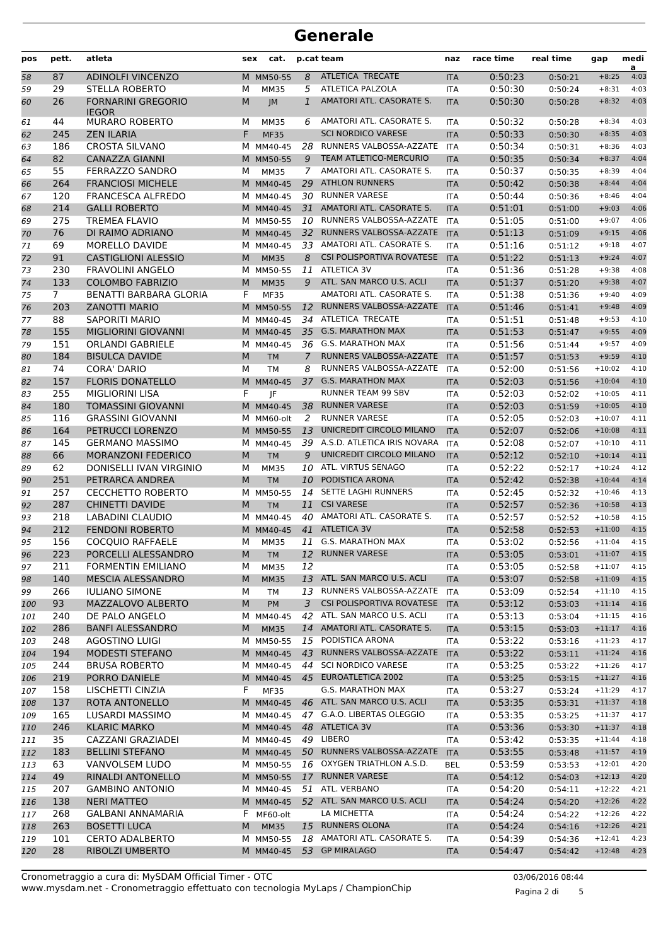| pos      | pett.          | atleta                                            | sex | cat.                    |                | p.cat team                                          | naz                      | race time          | real time          | gap                 | medi<br>a    |
|----------|----------------|---------------------------------------------------|-----|-------------------------|----------------|-----------------------------------------------------|--------------------------|--------------------|--------------------|---------------------|--------------|
| 58       | 87             | <b>ADINOLFI VINCENZO</b>                          |     | M MM50-55               | 8              | ATLETICA TRECATE                                    | <b>ITA</b>               | 0:50:23            | 0:50:21            | $+8:25$             | 4:03         |
| 59       | 29             | STELLA ROBERTO                                    | м   | <b>MM35</b>             | 5              | ATLETICA PALZOLA                                    | <b>ITA</b>               | 0:50:30            | 0:50:24            | $+8:31$             | 4:03         |
| 60       | 26             | <b>FORNARINI GREGORIO</b><br><b>IEGOR</b>         | M   | JM                      | $\mathbf{1}$   | AMATORI ATL. CASORATE S.                            | <b>ITA</b>               | 0:50:30            | 0:50:28            | $+8:32$             | 4:03         |
| 61       | 44             | <b>MURARO ROBERTO</b>                             | м   | MM35                    | 6              | AMATORI ATL. CASORATE S.                            | ITA                      | 0:50:32            | 0:50:28            | $+8:34$             | 4:03         |
| 62       | 245            | <b>ZEN ILARIA</b>                                 | F.  | <b>MF35</b>             |                | <b>SCI NORDICO VARESE</b>                           | <b>ITA</b>               | 0:50:33            | 0:50:30            | $+8:35$             | 4:03         |
| 63       | 186            | <b>CROSTA SILVANO</b>                             |     | M MM40-45               | 28             | RUNNERS VALBOSSA-AZZATE                             | <b>ITA</b>               | 0:50:34            | 0:50:31            | $+8:36$             | 4:03         |
| 64       | 82             | <b>CANAZZA GIANNI</b>                             |     | M MM50-55               | 9              | <b>TEAM ATLETICO-MERCURIO</b>                       | <b>ITA</b>               | 0:50:35            | 0:50:34            | $+8:37$             | 4:04         |
| 65       | 55             | FERRAZZO SANDRO                                   | м   | <b>MM35</b>             | 7              | AMATORI ATL. CASORATE S.                            | <b>ITA</b>               | 0:50:37            | 0:50:35            | $+8:39$             | 4:04         |
| 66       | 264            | <b>FRANCIOSI MICHELE</b>                          |     | M MM40-45               | 29             | <b>ATHLON RUNNERS</b>                               | <b>ITA</b>               | 0:50:42            | 0:50:38            | $+8:44$             | 4:04         |
| 67       | 120            | <b>FRANCESCA ALFREDO</b>                          |     | M MM40-45               |                | 30 RUNNER VARESE                                    | ITA                      | 0:50:44            | 0:50:36            | $+8:46$             | 4:04         |
| 68       | 214            | <b>GALLI ROBERTO</b>                              |     | M MM40-45               | 31             | AMATORI ATL. CASORATE S.                            | <b>ITA</b>               | 0:51:01            | 0:51:00            | $+9:03$             | 4:06         |
| 69       | 275            | <b>TREMEA FLAVIO</b>                              |     | M MM50-55               | 10             | RUNNERS VALBOSSA-AZZATE                             | <b>ITA</b>               | 0:51:05            | 0:51:00            | $+9:07$             | 4:06         |
| 70       | 76             | DI RAIMO ADRIANO                                  |     | M MM40-45               | 32             | RUNNERS VALBOSSA-AZZATE                             | <b>ITA</b>               | 0:51:13            | 0:51:09            | $+9:15$             | 4:06         |
| 71       | 69             | MORELLO DAVIDE                                    |     | M MM40-45               | 33             | AMATORI ATL. CASORATE S.                            | <b>ITA</b>               | 0:51:16            | 0:51:12            | $+9:18$             | 4:07         |
| 72       | 91             | <b>CASTIGLIONI ALESSIO</b>                        | M   | <b>MM35</b>             | 8              | <b>CSI POLISPORTIVA ROVATESE</b>                    | <b>ITA</b>               | 0:51:22            | 0:51:13            | $+9:24$             | 4:07         |
| 73       | 230            | <b>FRAVOLINI ANGELO</b>                           |     | M MM50-55               |                | 11 ATLETICA 3V                                      | <b>ITA</b>               | 0:51:36            | 0:51:28            | $+9:38$             | 4:08         |
| 74       | 133            | <b>COLOMBO FABRIZIO</b>                           | M   | <b>MM35</b>             | 9              | ATL. SAN MARCO U.S. ACLI                            | <b>ITA</b>               | 0:51:37            | 0:51:20            | $+9:38$             | 4:07         |
| 75       | $\overline{7}$ | <b>BENATTI BARBARA GLORIA</b>                     | F   | <b>MF35</b>             |                | AMATORI ATL. CASORATE S.<br>RUNNERS VALBOSSA-AZZATE | <b>ITA</b>               | 0:51:38            | 0:51:36            | $+9:40$             | 4:09         |
| 76       | 203            | <b>ZANOTTI MARIO</b>                              |     | M MM50-55               | 12             | ATLETICA TRECATE                                    | <b>ITA</b>               | 0:51:46            | 0:51:41            | $+9:48$             | 4:09<br>4:10 |
| 77       | 88             | <b>SAPORITI MARIO</b>                             |     | M MM40-45               | 34             | <b>G.S. MARATHON MAX</b>                            | <b>ITA</b>               | 0:51:51            | 0:51:48            | $+9:53$             |              |
| 78       | 155            | <b>MIGLIORINI GIOVANNI</b>                        |     | M MM40-45               | 35             |                                                     | <b>ITA</b>               | 0:51:53            | 0:51:47            | $+9:55$             | 4:09<br>4:09 |
| 79       | 151            | <b>ORLANDI GABRIELE</b><br><b>BISULCA DAVIDE</b>  |     | M MM40-45               |                | 36 G.S. MARATHON MAX<br>RUNNERS VALBOSSA-AZZATE     | <b>ITA</b>               | 0:51:56            | 0:51:44            | $+9:57$             |              |
| 80       | 184<br>74      |                                                   | M   | <b>TM</b>               | $\overline{7}$ | RUNNERS VALBOSSA-AZZATE                             | <b>ITA</b>               | 0:51:57<br>0:52:00 | 0:51:53            | $+9:59$<br>$+10:02$ | 4:10<br>4:10 |
| 81       |                | <b>CORA' DARIO</b>                                | М   | <b>TM</b>               | 8              | <b>G.S. MARATHON MAX</b>                            | <b>ITA</b>               |                    | 0:51:56            | $+10:04$            | 4:10         |
| 82       | 157<br>255     | <b>FLORIS DONATELLO</b><br><b>MIGLIORINI LISA</b> | F   | M MM40-45               | 37             | RUNNER TEAM 99 SBV                                  | <b>ITA</b>               | 0:52:03<br>0:52:03 | 0:51:56            | $+10:05$            | 4:11         |
| 83       | 180            | <b>TOMASSINI GIOVANNI</b>                         |     | IF                      | 38             | <b>RUNNER VARESE</b>                                | <b>ITA</b>               | 0:52:03            | 0:52:02            | $+10:05$            | 4:10         |
| 84       | 116            | <b>GRASSINI GIOVANNI</b>                          |     | M MM40-45               | 2              | <b>RUNNER VARESE</b>                                | <b>ITA</b>               | 0:52:05            | 0:51:59            | $+10:07$            | 4:11         |
| 85       | 164            | PETRUCCI LORENZO                                  |     | M MM60-olt<br>M MM50-55 | 13             | UNICREDIT CIRCOLO MILANO                            | <b>ITA</b><br><b>ITA</b> | 0:52:07            | 0:52:03            | $+10:08$            | 4:11         |
| 86<br>87 | 145            | <b>GERMANO MASSIMO</b>                            |     | M MM40-45               | 39             | A.S.D. ATLETICA IRIS NOVARA                         | <b>ITA</b>               | 0:52:08            | 0:52:06            | $+10:10$            | 4:11         |
| 88       | 66             | <b>MORANZONI FEDERICO</b>                         | M   | <b>TM</b>               | 9              | UNICREDIT CIRCOLO MILANO                            | <b>ITA</b>               | 0:52:12            | 0:52:07<br>0:52:10 | $+10:14$            | 4:11         |
| 89       | 62             | DONISELLI IVAN VIRGINIO                           | М   | <b>MM35</b>             | 10             | ATL. VIRTUS SENAGO                                  | ITA                      | 0:52:22            | 0:52:17            | $+10:24$            | 4:12         |
| 90       | 251            | PETRARCA ANDREA                                   | M   | <b>TM</b>               | 10             | PODISTICA ARONA                                     | <b>ITA</b>               | 0:52:42            | 0:52:38            | $+10:44$            | 4:14         |
| 91       | 257            | <b>CECCHETTO ROBERTO</b>                          |     | M MM50-55               | 14             | SETTE LAGHI RUNNERS                                 | <b>ITA</b>               | 0:52:45            | 0:52:32            | $+10:46$            | 4:13         |
| 92       | 287            | <b>CHINETTI DAVIDE</b>                            | M   | <b>TM</b>               | 11             | <b>CSI VARESE</b>                                   | <b>ITA</b>               | 0:52:57            | 0:52:36            | $+10:58$            | 4:13         |
| 93       | 218            | LABADINI CLAUDIO                                  |     | M MM40-45               | 40             | AMATORI ATL. CASORATE S.                            | <b>ITA</b>               | 0:52:57            | 0:52:52            | $+10:58$            | 4:15         |
| 94       | 212            | <b>FENDONI ROBERTO</b>                            |     | M MM40-45               | 41             | <b>ATLETICA 3V</b>                                  | <b>ITA</b>               | 0:52:58            | 0:52:53            | $+11:00$            | 4:15         |
| 95       | 156            | <b>COCOUIO RAFFAELE</b>                           | м   | <b>MM35</b>             |                | 11 G.S. MARATHON MAX                                | <b>ITA</b>               | 0:53:02            | 0:52:56            | $+11:04$            | 4:15         |
| 96       | 223            | PORCELLI ALESSANDRO                               | M   | TМ                      | 12             | <b>RUNNER VARESE</b>                                | ITA                      | 0:53:05            | 0:53:01            | $+11:07$            | 4:15         |
| 97       | 211            | <b>FORMENTIN EMILIANO</b>                         | М   | <b>MM35</b>             | 12             |                                                     | ITA                      | 0:53:05            | 0:52:58            | $+11:07$            | 4:15         |
| 98       | 140            | MESCIA ALESSANDRO                                 | M   | <b>MM35</b>             |                | 13 ATL. SAN MARCO U.S. ACLI                         | <b>ITA</b>               | 0:53:07            | 0:52:58            | $+11:09$            | 4:15         |
| 99       | 266            | <b>IULIANO SIMONE</b>                             | М   | TM                      | 13             | RUNNERS VALBOSSA-AZZATE                             | ITA                      | 0:53:09            | 0:52:54            | $+11:10$            | 4:15         |
| 100      | 93             | MAZZALOVO ALBERTO                                 | M   | PM                      | 3              | CSI POLISPORTIVA ROVATESE                           | <b>ITA</b>               | 0:53:12            | 0:53:03            | $+11:14$            | 4:16         |
| 101      | 240            | DE PALO ANGELO                                    |     | M MM40-45               | 42             | ATL. SAN MARCO U.S. ACLI                            | ITA                      | 0:53:13            | 0:53:04            | $+11:15$            | 4:16         |
| 102      | 286            | <b>BANFI ALESSANDRO</b>                           | M   | <b>MM35</b>             |                | 14 AMATORI ATL. CASORATE S.                         | <b>ITA</b>               | 0:53:15            | 0:53:03            | $+11:17$            | 4:16         |
| 103      | 248            | <b>AGOSTINO LUIGI</b>                             |     | M MM50-55               |                | 15 PODISTICA ARONA                                  | ITA                      | 0:53:22            | 0:53:16            | $+11:23$            | 4:17         |
| 104      | 194            | MODESTI STEFANO                                   |     | M MM40-45               | 43             | RUNNERS VALBOSSA-AZZATE                             | <b>ITA</b>               | 0:53:22            | 0:53:11            | $+11:24$            | 4:16         |
| 105      | 244            | <b>BRUSA ROBERTO</b>                              |     | M MM40-45               | 44             | <b>SCI NORDICO VARESE</b>                           | ITA                      | 0:53:25            | 0:53:22            | $+11:26$            | 4:17         |
| 106      | 219            | PORRO DANIELE                                     |     | M MM40-45               |                | 45 EUROATLETICA 2002                                | <b>ITA</b>               | 0:53:25            | 0:53:15            | $+11:27$            | 4:16         |
| 107      | 158            | LISCHETTI CINZIA                                  | F   | <b>MF35</b>             |                | <b>G.S. MARATHON MAX</b>                            | ITA                      | 0:53:27            | 0:53:24            | $+11:29$            | 4:17         |
| 108      | 137            | ROTA ANTONELLO                                    |     | M MM40-45               |                | 46 ATL. SAN MARCO U.S. ACLI                         | <b>ITA</b>               | 0:53:35            | 0:53:31            | $+11:37$            | 4:18         |
| 109      | 165            | LUSARDI MASSIMO                                   |     | M MM40-45               |                | 47 G.A.O. LIBERTAS OLEGGIO                          | ITA                      | 0:53:35            | 0:53:25            | $+11:37$            | 4:17         |
| 110      | 246            | <b>KLARIC MARKO</b>                               |     | M MM40-45               |                | 48 ATLETICA 3V                                      | <b>ITA</b>               | 0:53:36            | 0:53:30            | $+11:37$            | 4:18         |
| 111      | 35             | CAZZANI GRAZIADEI                                 |     | M MM40-45               | 49             | LIBERO                                              | ITA                      | 0:53:42            | 0:53:35            | $+11:44$            | 4:18         |
| 112      | 183            | <b>BELLINI STEFANO</b>                            |     | M MM40-45               |                | 50 RUNNERS VALBOSSA-AZZATE                          | <b>ITA</b>               | 0:53:55            | 0:53:48            | $+11:57$            | 4:19         |
| 113      | 63             | VANVOLSEM LUDO                                    |     | M MM50-55               |                | 16 OXYGEN TRIATHLON A.S.D.                          | <b>BEL</b>               | 0:53:59            | 0:53:53            | $+12:01$            | 4:20         |
| 114      | 49             | RINALDI ANTONELLO                                 |     | M MM50-55               |                | 17 RUNNER VARESE                                    | <b>ITA</b>               | 0:54:12            | 0:54:03            | $+12:13$            | 4:20         |
| 115      | 207            | <b>GAMBINO ANTONIO</b>                            |     | M MM40-45               |                | 51 ATL. VERBANO                                     | ITA                      | 0:54:20            | 0:54:11            | $+12:22$            | 4:21         |
| 116      | 138            | <b>NERI MATTEO</b>                                |     | M MM40-45               |                | 52 ATL. SAN MARCO U.S. ACLI                         | <b>ITA</b>               | 0:54:24            | 0:54:20            | $+12:26$            | 4:22         |
| 117      | 268            | <b>GALBANI ANNAMARIA</b>                          |     | F MF60-olt              |                | LA MICHETTA                                         | ITA                      | 0:54:24            | 0:54:22            | $+12:26$            | 4:22         |
| 118      | 263            | <b>BOSETTI LUCA</b>                               | M   | <b>MM35</b>             |                | 15 RUNNERS OLONA                                    | <b>ITA</b>               | 0:54:24            | 0:54:16            | $+12:26$            | 4:21         |
| 119      | 101            | <b>CERTO ADALBERTO</b>                            |     | M MM50-55               | 18             | AMATORI ATL. CASORATE S.                            | <b>ITA</b>               | 0:54:39            | 0:54:36            | $+12:41$            | 4:23         |
| 120      | 28             | RIBOLZI UMBERTO                                   |     | M MM40-45               |                | 53 GP MIRALAGO                                      | <b>ITA</b>               | 0:54:47            | 0:54:42            | $+12:48$            | 4:23         |

Pagina 2 di 5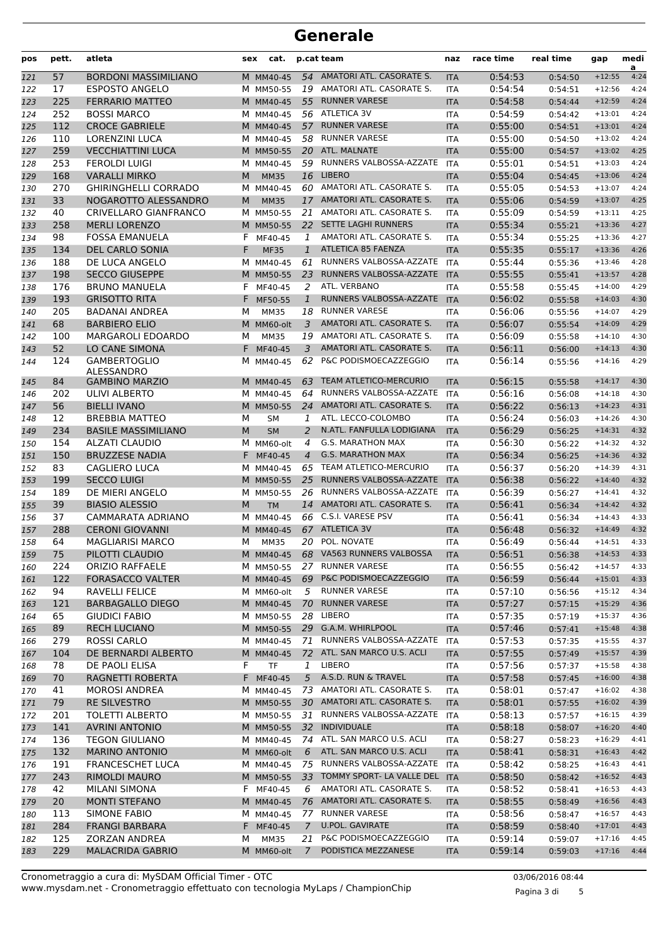| pos | pett. | atleta                      | sex | cat.        |                | p.cat team                          | naz        | race time | real time | gap      | medi<br>a |
|-----|-------|-----------------------------|-----|-------------|----------------|-------------------------------------|------------|-----------|-----------|----------|-----------|
| 121 | 57    | <b>BORDONI MASSIMILIANO</b> |     | M MM40-45   | 54             | AMATORI ATL. CASORATE S.            | <b>ITA</b> | 0:54:53   | 0:54:50   | $+12:55$ | 4:24      |
| 122 | 17    | <b>ESPOSTO ANGELO</b>       |     | M MM50-55   |                | 19 AMATORI ATL. CASORATE S.         | <b>ITA</b> | 0:54:54   | 0:54:51   | $+12:56$ | 4:24      |
| 123 | 225   | <b>FERRARIO MATTEO</b>      |     | M MM40-45   | 55             | <b>RUNNER VARESE</b>                | <b>ITA</b> | 0:54:58   | 0:54:44   | $+12:59$ | 4:24      |
| 124 | 252   | <b>BOSSI MARCO</b>          |     | M MM40-45   |                | 56 ATLETICA 3V                      | <b>ITA</b> | 0:54:59   | 0:54:42   | $+13:01$ | 4:24      |
| 125 | 112   | <b>CROCE GABRIELE</b>       |     | M MM40-45   |                | 57 RUNNER VARESE                    | <b>ITA</b> | 0:55:00   | 0:54:51   | $+13:01$ | 4:24      |
| 126 | 110   | <b>LORENZINI LUCA</b>       |     | M MM40-45   | 58             | <b>RUNNER VARESE</b>                | <b>ITA</b> | 0:55:00   | 0:54:50   | $+13:02$ | 4:24      |
| 127 | 259   | <b>VECCHIATTINI LUCA</b>    |     | M MM50-55   |                | 20 ATL. MALNATE                     | <b>ITA</b> | 0:55:00   | 0:54:57   | $+13:02$ | 4:25      |
| 128 | 253   | <b>FEROLDI LUIGI</b>        |     | M MM40-45   | 59             | RUNNERS VALBOSSA-AZZATE             | <b>ITA</b> | 0:55:01   | 0:54:51   | $+13:03$ | 4:24      |
| 129 | 168   | <b>VARALLI MIRKO</b>        | M   | <b>MM35</b> | 16             | <b>LIBERO</b>                       | <b>ITA</b> | 0:55:04   | 0:54:45   | $+13:06$ | 4:24      |
| 130 | 270   | <b>GHIRINGHELLI CORRADO</b> |     | M MM40-45   | 60             | AMATORI ATL. CASORATE S.            | <b>ITA</b> | 0:55:05   | 0:54:53   | $+13:07$ | 4:24      |
| 131 | 33    | NOGAROTTO ALESSANDRO        | M   | <b>MM35</b> | 17             | AMATORI ATL. CASORATE S.            | <b>ITA</b> | 0:55:06   | 0:54:59   | $+13:07$ | 4:25      |
| 132 | 40    | CRIVELLARO GIANFRANCO       |     | M MM50-55   | 21             | AMATORI ATL. CASORATE S.            | <b>ITA</b> | 0:55:09   | 0:54:59   | $+13:11$ | 4:25      |
| 133 | 258   | <b>MERLI LORENZO</b>        |     | M MM50-55   |                | 22 SETTE LAGHI RUNNERS              | <b>ITA</b> | 0:55:34   | 0:55:21   | $+13:36$ | 4:27      |
| 134 | 98    | <b>FOSSA EMANUELA</b>       | F   | MF40-45     | 1              | AMATORI ATL. CASORATE S.            | <b>ITA</b> | 0:55:34   | 0:55:25   | $+13:36$ | 4:27      |
| 135 | 134   | <b>DEL CARLO SONIA</b>      | F   | <b>MF35</b> | $\mathbf{1}$   | ATLETICA 85 FAENZA                  | <b>ITA</b> | 0:55:35   | 0:55:17   | $+13:36$ | 4:26      |
| 136 | 188   | DE LUCA ANGELO              |     | M MM40-45   | 61             | RUNNERS VALBOSSA-AZZATE             | <b>ITA</b> | 0:55:44   | 0:55:36   | $+13:46$ | 4:28      |
| 137 | 198   | <b>SECCO GIUSEPPE</b>       |     | M MM50-55   | 23             | RUNNERS VALBOSSA-AZZATE             | <b>ITA</b> | 0:55:55   | 0:55:41   | $+13:57$ | 4:28      |
| 138 | 176   | <b>BRUNO MANUELA</b>        | F   | MF40-45     | 2              | ATL. VERBANO                        | <b>ITA</b> | 0:55:58   | 0:55:45   | $+14:00$ | 4:29      |
| 139 | 193   | <b>GRISOTTO RITA</b>        | F.  | MF50-55     | $\mathbf{1}$   | RUNNERS VALBOSSA-AZZATE             | <b>ITA</b> | 0:56:02   | 0:55:58   | $+14:03$ | 4:30      |
| 140 | 205   | <b>BADANAI ANDREA</b>       | м   | MM35        | 18             | <b>RUNNER VARESE</b>                | <b>ITA</b> | 0:56:06   | 0:55:56   | $+14:07$ | 4:29      |
| 141 | 68    | <b>BARBIERO ELIO</b>        |     | M MM60-olt  | 3              | AMATORI ATL. CASORATE S.            | <b>ITA</b> | 0:56:07   | 0:55:54   | $+14:09$ | 4:29      |
| 142 | 100   | <b>MARGAROLI EDOARDO</b>    | м   | <b>MM35</b> | 19             | AMATORI ATL. CASORATE S.            | <b>ITA</b> | 0:56:09   | 0:55:58   | $+14:10$ | 4:30      |
| 143 | 52    | LO CANE SIMONA              | F.  | MF40-45     | 3              | AMATORI ATL. CASORATE S.            | <b>ITA</b> | 0:56:11   | 0:56:00   | $+14:13$ | 4:30      |
| 144 | 124   | <b>GAMBERTOGLIO</b>         |     | M MM40-45   | 62             | P&C PODISMOECAZZEGGIO               | <b>ITA</b> | 0:56:14   | 0:55:56   | $+14:16$ | 4:29      |
|     |       | ALESSANDRO                  |     |             |                |                                     |            |           |           |          |           |
| 145 | 84    | <b>GAMBINO MARZIO</b>       |     | M MM40-45   | 63             | <b>TEAM ATLETICO-MERCURIO</b>       | <b>ITA</b> | 0:56:15   | 0:55:58   | $+14:17$ | 4:30      |
| 146 | 202   | ULIVI ALBERTO               |     | M MM40-45   | 64             | RUNNERS VALBOSSA-AZZATE             | <b>ITA</b> | 0:56:16   | 0:56:08   | $+14:18$ | 4:30      |
| 147 | 56    | <b>BIELLI IVANO</b>         |     | M MM50-55   | 24             | AMATORI ATL. CASORATE S.            | <b>ITA</b> | 0:56:22   | 0:56:13   | $+14:23$ | 4:31      |
| 148 | 12    | <b>BREBBIA MATTEO</b>       | М   | <b>SM</b>   | 1              | ATL. LECCO-COLOMBO                  | <b>ITA</b> | 0:56:24   | 0:56:03   | $+14:26$ | 4:30      |
| 149 | 234   | <b>BASILE MASSIMILIANO</b>  | M   | <b>SM</b>   | 2              | N.ATL. FANFULLA LODIGIANA           | <b>ITA</b> | 0:56:29   | 0:56:25   | $+14:31$ | 4:32      |
| 150 | 154   | <b>ALZATI CLAUDIO</b>       |     | M MM60-olt  | 4              | <b>G.S. MARATHON MAX</b>            | <b>ITA</b> | 0:56:30   | 0:56:22   | $+14:32$ | 4:32      |
| 151 | 150   | <b>BRUZZESE NADIA</b>       | F.  | MF40-45     | $\overline{4}$ | <b>G.S. MARATHON MAX</b>            | <b>ITA</b> | 0:56:34   | 0:56:25   | $+14:36$ | 4:32      |
| 152 | 83    | <b>CAGLIERO LUCA</b>        |     | M MM40-45   |                | 65 TEAM ATLETICO-MERCURIO           | <b>ITA</b> | 0:56:37   | 0:56:20   | $+14:39$ | 4:31      |
| 153 | 199   | <b>SECCO LUIGI</b>          |     | M MM50-55   | 25             | RUNNERS VALBOSSA-AZZATE             | <b>ITA</b> | 0:56:38   | 0:56:22   | $+14:40$ | 4:32      |
| 154 | 189   | DE MIERI ANGELO             |     | M MM50-55   | 26             | RUNNERS VALBOSSA-AZZATE             | <b>ITA</b> | 0:56:39   | 0:56:27   | $+14:41$ | 4:32      |
| 155 | 39    | <b>BIASIO ALESSIO</b>       | M   | <b>TM</b>   | 14             | AMATORI ATL. CASORATE S.            | <b>ITA</b> | 0:56:41   | 0:56:34   | $+14:42$ | 4:32      |
| 156 | 37    | CAMMARATA ADRIANO           |     | M MM40-45   |                | 66 C.S.I. VARESE PSV                | <b>ITA</b> | 0:56:41   | 0:56:34   | $+14:43$ | 4:33      |
| 157 | 288   | <b>CERONI GIOVANNI</b>      |     | M MM40-45   |                | 67 ATLETICA 3V                      | <b>ITA</b> | 0:56:48   | 0:56:32   | $+14:49$ | 4:32      |
| 158 | 64    | <b>MAGLIARISI MARCO</b>     | м   | <b>MM35</b> |                | 20 POL. NOVATE                      | <b>ITA</b> | 0:56:49   | 0:56:44   | $+14:51$ | 4:33      |
| 159 | 75    | PILOTTI CLAUDIO             |     |             |                | M MM40-45 68 VA563 RUNNERS VALBOSSA | <b>ITA</b> | 0:56:51   | 0:56:38   | $+14:53$ | 4:33      |
| 160 | 224   | <b>ORIZIO RAFFAELE</b>      |     | M MM50-55   |                | 27 RUNNER VARESE                    | <b>ITA</b> | 0:56:55   | 0:56:42   | $+14:57$ | 4:33      |
| 161 | 122   | <b>FORASACCO VALTER</b>     |     | M MM40-45   | 69             | P&C PODISMOECAZZEGGIO               | <b>ITA</b> | 0:56:59   | 0:56:44   | $+15:01$ | 4:33      |
| 162 | 94    | RAVELLI FELICE              |     | M MM60-olt  | 5              | <b>RUNNER VARESE</b>                | <b>ITA</b> | 0:57:10   | 0:56:56   | $+15:12$ | 4:34      |
| 163 | 121   | <b>BARBAGALLO DIEGO</b>     |     | M MM40-45   | 70             | <b>RUNNER VARESE</b>                | <b>ITA</b> | 0:57:27   | 0:57:15   | $+15:29$ | 4:36      |
| 164 | 65    | <b>GIUDICI FABIO</b>        |     | M MM50-55   |                | 28 LIBERO                           | <b>ITA</b> | 0:57:35   | 0:57:19   | $+15:37$ | 4:36      |
| 165 | 89    | <b>RECH LUCIANO</b>         |     | M MM50-55   |                | 29 G.A.M. WHIRLPOOL                 | <b>ITA</b> | 0:57:46   | 0:57:41   | $+15:48$ | 4:38      |
| 166 | 279   | ROSSI CARLO                 |     | M MM40-45   | 71             | RUNNERS VALBOSSA-AZZATE             | <b>ITA</b> | 0:57:53   | 0:57:35   | $+15:55$ | 4:37      |
| 167 | 104   | DE BERNARDI ALBERTO         |     | M MM40-45   |                | 72 ATL. SAN MARCO U.S. ACLI         | <b>ITA</b> | 0:57:55   | 0:57:49   | $+15:57$ | 4:39      |
| 168 | 78    | DE PAOLI ELISA              | F   | <b>TF</b>   | 1              | LIBERO                              | <b>ITA</b> | 0:57:56   | 0:57:37   | $+15:58$ | 4:38      |
| 169 | 70    | RAGNETTI ROBERTA            |     | F MF40-45   | 5              | A.S.D. RUN & TRAVEL                 | <b>ITA</b> | 0:57:58   | 0:57:45   | $+16:00$ | 4:38      |
| 170 | 41    | <b>MOROSI ANDREA</b>        |     | M MM40-45   |                | 73 AMATORI ATL. CASORATE S.         | <b>ITA</b> | 0:58:01   | 0:57:47   | $+16:02$ | 4:38      |
| 171 | 79    | <b>RE SILVESTRO</b>         |     | M MM50-55   |                | 30 AMATORI ATL. CASORATE S.         | <b>ITA</b> | 0:58:01   | 0:57:55   | $+16:02$ | 4:39      |
| 172 | 201   | <b>TOLETTI ALBERTO</b>      |     | M MM50-55   | 31             | RUNNERS VALBOSSA-AZZATE             | <b>ITA</b> | 0:58:13   | 0:57:57   | $+16:15$ | 4:39      |
| 173 | 141   | <b>AVRINI ANTONIO</b>       |     | M MM50-55   |                | 32 INDIVIDUALE                      | <b>ITA</b> | 0:58:18   | 0:58:07   | $+16:20$ | 4:40      |
| 174 | 136   | <b>TEGON GIULIANO</b>       |     | M MM40-45   |                | 74 ATL. SAN MARCO U.S. ACLI         | ITA        | 0:58:27   | 0:58:23   | $+16:29$ | 4:41      |
| 175 | 132   | <b>MARINO ANTONIO</b>       |     | M MM60-olt  | 6              | ATL. SAN MARCO U.S. ACLI            | <b>ITA</b> | 0:58:41   | 0:58:31   | $+16:43$ | 4:42      |
| 176 | 191   | <b>FRANCESCHET LUCA</b>     |     | M MM40-45   |                | 75 RUNNERS VALBOSSA-AZZATE ITA      |            | 0:58:42   | 0:58:25   | $+16:43$ | 4:41      |
| 177 | 243   | <b>RIMOLDI MAURO</b>        |     | M MM50-55   |                | 33 TOMMY SPORT- LA VALLE DEL        | <b>ITA</b> | 0:58:50   | 0:58:42   | $+16:52$ | 4:43      |
| 178 | 42    | <b>MILANI SIMONA</b>        |     | F MF40-45   | 6              | AMATORI ATL. CASORATE S.            | ITA        | 0:58:52   | 0:58:41   | $+16:53$ | 4:43      |
| 179 | 20    | <b>MONTI STEFANO</b>        |     | M MM40-45   |                | 76 AMATORI ATL. CASORATE S.         | <b>ITA</b> | 0:58:55   | 0:58:49   | $+16:56$ | 4:43      |
| 180 | 113   | <b>SIMONE FABIO</b>         |     | M MM40-45   |                | 77 RUNNER VARESE                    | <b>ITA</b> | 0:58:56   | 0:58:47   | $+16:57$ | 4:43      |
| 181 | 284   | <b>FRANGI BARBARA</b>       |     | F MF40-45   | $\overline{7}$ | U.POL. GAVIRATE                     | <b>ITA</b> | 0:58:59   | 0:58:40   | $+17:01$ | 4:43      |
| 182 | 125   | <b>ZORZAN ANDREA</b>        | м   | MM35        |                | 21 P&C PODISMOECAZZEGGIO            | <b>ITA</b> | 0:59:14   | 0:59:07   | $+17:16$ | 4:45      |
| 183 | 229   | <b>MALACRIDA GABRIO</b>     |     | M MM60-olt  | $7^{\circ}$    | PODISTICA MEZZANESE                 | <b>ITA</b> | 0:59:14   | 0:59:03   | $+17:16$ | 4:44      |

www.mysdam.net - Cronometraggio effettuato con tecnologia MyLaps / ChampionChip Cronometraggio a cura di: MySDAM Official Timer - OTC 03/06/2016 08:44

Pagina 3 di 5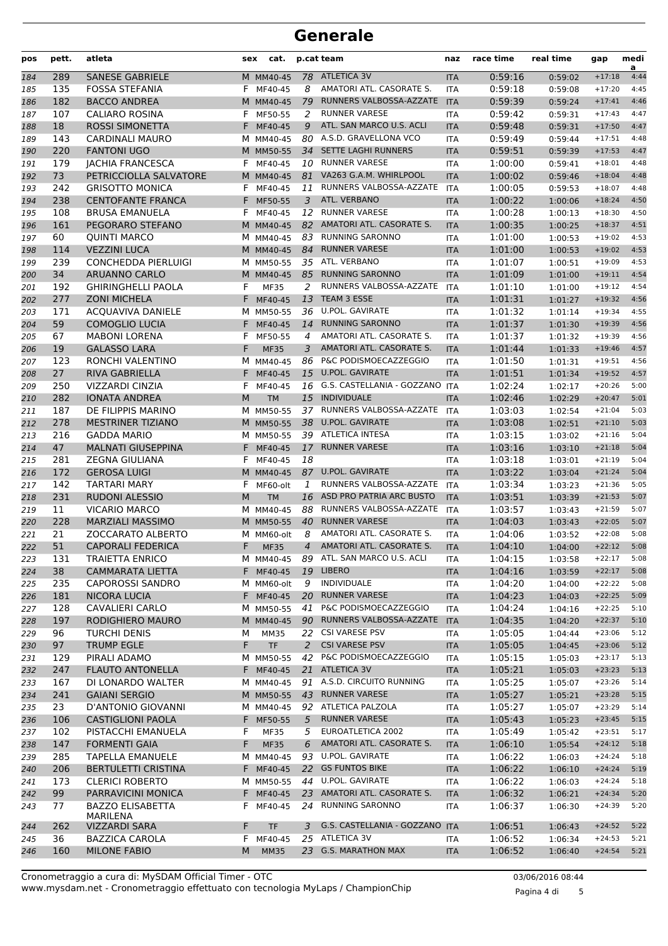| pos | pett. | atleta                           | sex | cat.        |    | p.cat team                     | naz        | race time | real time | gap      | medi<br>a |
|-----|-------|----------------------------------|-----|-------------|----|--------------------------------|------------|-----------|-----------|----------|-----------|
| 184 | 289   | <b>SANESE GABRIELE</b>           |     | M MM40-45   |    | 78 ATLETICA 3V                 | <b>ITA</b> | 0:59:16   | 0:59:02   | $+17:18$ | 4:44      |
| 185 | 135   | <b>FOSSA STEFANIA</b>            | F.  | MF40-45     | 8  | AMATORI ATL. CASORATE S.       | <b>ITA</b> | 0:59:18   | 0:59:08   | $+17:20$ | 4:45      |
| 186 | 182   | <b>BACCO ANDREA</b>              |     | M MM40-45   | 79 | RUNNERS VALBOSSA-AZZATE        | <b>ITA</b> | 0:59:39   | 0:59:24   | $+17:41$ | 4:46      |
| 187 | 107   | <b>CALIARO ROSINA</b>            | F   | MF50-55     | 2  | <b>RUNNER VARESE</b>           | <b>ITA</b> | 0:59:42   | 0:59:31   | $+17:43$ | 4:47      |
| 188 | 18    | <b>ROSSI SIMONETTA</b>           | F.  | MF40-45     | 9  | ATL. SAN MARCO U.S. ACLI       | <b>ITA</b> | 0:59:48   | 0:59:31   | $+17:50$ | 4:47      |
| 189 | 143   | CARDINALI MAURO                  |     | M MM40-45   |    | 80 A.S.D. GRAVELLONA VCO       | <b>ITA</b> | 0:59:49   | 0:59:44   | $+17:51$ | 4:48      |
| 190 | 220   | <b>FANTONI UGO</b>               |     | M MM50-55   | 34 | SETTE LAGHI RUNNERS            | <b>ITA</b> | 0:59:51   | 0:59:39   | $+17:53$ | 4:47      |
| 191 | 179   | <b>JACHIA FRANCESCA</b>          | F.  | MF40-45     |    | 10 RUNNER VARESE               | <b>ITA</b> | 1:00:00   | 0:59:41   | $+18:01$ | 4:48      |
| 192 | 73    | PETRICCIOLLA SALVATORE           |     | M MM40-45   | 81 | VA263 G.A.M. WHIRLPOOL         | <b>ITA</b> | 1:00:02   | 0:59:46   | $+18:04$ | 4:48      |
| 193 | 242   | <b>GRISOTTO MONICA</b>           | F   | MF40-45     | 11 | RUNNERS VALBOSSA-AZZATE        | <b>ITA</b> | 1:00:05   | 0:59:53   | $+18:07$ | 4:48      |
| 194 | 238   | <b>CENTOFANTE FRANCA</b>         | F   | MF50-55     | 3  | ATL. VERBANO                   | <b>ITA</b> | 1:00:22   | 1:00:06   | $+18:24$ | 4:50      |
| 195 | 108   | <b>BRUSA EMANUELA</b>            | F   | MF40-45     | 12 | <b>RUNNER VARESE</b>           | <b>ITA</b> | 1:00:28   | 1:00:13   | $+18:30$ | 4:50      |
| 196 | 161   | PEGORARO STEFANO                 |     | M MM40-45   | 82 | AMATORI ATL. CASORATE S.       | <b>ITA</b> | 1:00:35   | 1:00:25   | $+18:37$ | 4:51      |
| 197 | 60    | <b>QUINTI MARCO</b>              |     | M MM40-45   | 83 | <b>RUNNING SARONNO</b>         | <b>ITA</b> | 1:01:00   | 1:00:53   | $+19:02$ | 4:53      |
| 198 | 114   | <b>VEZZINI LUCA</b>              |     | M MM40-45   | 84 | <b>RUNNER VARESE</b>           | <b>ITA</b> | 1:01:00   | 1:00:53   | $+19:02$ | 4:53      |
| 199 | 239   | <b>CONCHEDDA PIERLUIGI</b>       |     | M MM50-55   | 35 | ATL. VERBANO                   | <b>ITA</b> | 1:01:07   | 1:00:51   | $+19:09$ | 4:53      |
| 200 | 34    | <b>ARUANNO CARLO</b>             |     | M MM40-45   | 85 | <b>RUNNING SARONNO</b>         | <b>ITA</b> | 1:01:09   | 1:01:00   | $+19:11$ | 4:54      |
| 201 | 192   | <b>GHIRINGHELLI PAOLA</b>        | F   | <b>MF35</b> | 2  | RUNNERS VALBOSSA-AZZATE        | <b>ITA</b> | 1:01:10   | 1:01:00   | $+19:12$ | 4:54      |
| 202 | 277   | <b>ZONI MICHELA</b>              | F.  | MF40-45     | 13 | TEAM 3 ESSE                    | <b>ITA</b> | 1:01:31   | 1:01:27   | $+19:32$ | 4:56      |
| 203 | 171   | <b>ACQUAVIVA DANIELE</b>         |     | M MM50-55   | 36 | <b>U.POL. GAVIRATE</b>         | <b>ITA</b> | 1:01:32   | 1:01:14   | $+19:34$ | 4:55      |
| 204 | 59    | <b>COMOGLIO LUCIA</b>            | F   | MF40-45     | 14 | <b>RUNNING SARONNO</b>         | <b>ITA</b> | 1:01:37   | 1:01:30   | $+19:39$ | 4:56      |
| 205 | 67    | <b>MABONI LORENA</b>             | F   | MF50-55     | 4  | AMATORI ATL. CASORATE S.       | <b>ITA</b> | 1:01:37   | 1:01:32   | $+19:39$ | 4:56      |
| 206 | 19    | <b>GALASSO LARA</b>              | F   | <b>MF35</b> | 3  | AMATORI ATL. CASORATE S.       | <b>ITA</b> | 1:01:44   | 1:01:33   | $+19:46$ | 4:57      |
| 207 | 123   | RONCHI VALENTINO                 |     | M MM40-45   | 86 | P&C PODISMOECAZZEGGIO          | <b>ITA</b> | 1:01:50   | 1:01:31   | $+19:51$ | 4:56      |
| 208 | 27    | <b>RIVA GABRIELLA</b>            | F   | MF40-45     | 15 | <b>U.POL. GAVIRATE</b>         | <b>ITA</b> | 1:01:51   | 1:01:34   | $+19:52$ | 4:57      |
| 209 | 250   | <b>VIZZARDI CINZIA</b>           | F   | MF40-45     | 16 | G.S. CASTELLANIA - GOZZANO ITA |            | 1:02:24   | 1:02:17   | $+20:26$ | 5:00      |
| 210 | 282   | <b>IONATA ANDREA</b>             | M   | <b>TM</b>   | 15 | <b>INDIVIDUALE</b>             | <b>ITA</b> | 1:02:46   | 1:02:29   | $+20:47$ | 5:01      |
| 211 | 187   | DE FILIPPIS MARINO               |     | M MM50-55   | 37 | RUNNERS VALBOSSA-AZZATE        | <b>ITA</b> | 1:03:03   | 1:02:54   | $+21:04$ | 5:03      |
| 212 | 278   | MESTRINER TIZIANO                |     | M MM50-55   | 38 | <b>U.POL. GAVIRATE</b>         | <b>ITA</b> | 1:03:08   | 1:02:51   | $+21:10$ | 5:03      |
| 213 | 216   | <b>GADDA MARIO</b>               |     | M MM50-55   |    | 39 ATLETICA INTESA             | <b>ITA</b> | 1:03:15   | 1:03:02   | $+21:16$ | 5:04      |
| 214 | 47    | <b>MALNATI GIUSEPPINA</b>        | F.  | MF40-45     | 17 | <b>RUNNER VARESE</b>           | <b>ITA</b> | 1:03:16   | 1:03:10   | $+21:18$ | 5:04      |
| 215 | 281   | <b>ZEGNA GIULIANA</b>            | F   | MF40-45     | 18 |                                | <b>ITA</b> | 1:03:18   | 1:03:01   | $+21:19$ | 5:04      |
| 216 | 172   | <b>GEROSA LUIGI</b>              |     | M MM40-45   | 87 | <b>U.POL. GAVIRATE</b>         | <b>ITA</b> | 1:03:22   | 1:03:04   | $+21:24$ | 5:04      |
| 217 | 142   | <b>TARTARI MARY</b>              | F   | MF60-olt    | 1  | RUNNERS VALBOSSA-AZZATE        | <b>ITA</b> | 1:03:34   | 1:03:23   | $+21:36$ | 5:05      |
| 218 | 231   | <b>RUDONI ALESSIO</b>            | M   | <b>TM</b>   | 16 | ASD PRO PATRIA ARC BUSTO       | <b>ITA</b> | 1:03:51   | 1:03:39   | $+21:53$ | 5:07      |
| 219 | 11    | <b>VICARIO MARCO</b>             |     | M MM40-45   | 88 | RUNNERS VALBOSSA-AZZATE        | <b>ITA</b> | 1:03:57   | 1:03:43   | $+21:59$ | 5:07      |
| 220 | 228   | <b>MARZIALI MASSIMO</b>          |     | M MM50-55   | 40 | <b>RUNNER VARESE</b>           | <b>ITA</b> | 1:04:03   | 1:03:43   | $+22:05$ | 5:07      |
| 221 | 21    | ZOCCARATO ALBERTO                |     | M MM60-olt  | 8  | AMATORI ATL. CASORATE S.       | <b>ITA</b> | 1:04:06   | 1:03:52   | $+22:08$ | 5:08      |
| 222 | 51    | <b>CAPORALI FEDERICA</b>         | F   | <b>MF35</b> | 4  | AMATORI ATL. CASORATE S.       | <b>ITA</b> | 1:04:10   | 1:04:00   | $+22:12$ | 5:08      |
| 223 | 131   | <b>TRAIETTA ENRICO</b>           |     | M MM40-45   |    | 89 ATL. SAN MARCO U.S. ACLI    | ITA        | 1:04:15   | 1:03:58   | $+22:17$ | 5:08      |
| 224 | 38    | <b>CAMMARATA LIETTA</b>          |     | F MF40-45   |    | 19 LIBERO                      | <b>ITA</b> | 1:04:16   | 1:03:59   | $+22:17$ | 5:08      |
| 225 | 235   | <b>CAPOROSSI SANDRO</b>          |     | M MM60-olt  | 9  | INDIVIDUALE                    | ITA        | 1:04:20   | 1:04:00   | $+22:22$ | 5:08      |
| 226 | 181   | <b>NICORA LUCIA</b>              |     | F MF40-45   |    | 20 RUNNER VARESE               | <b>ITA</b> | 1:04:23   | 1:04:03   | $+22:25$ | 5:09      |
| 227 | 128   | <b>CAVALIERI CARLO</b>           |     | M MM50-55   |    | 41 P&C PODISMOECAZZEGGIO       | ITA        | 1:04:24   | 1:04:16   | $+22:25$ | 5:10      |
| 228 | 197   | RODIGHIERO MAURO                 |     | M MM40-45   |    | 90 RUNNERS VALBOSSA-AZZATE     | <b>ITA</b> | 1:04:35   | 1:04:20   | $+22:37$ | 5:10      |
| 229 | 96    | TURCHI DENIS                     | М   | <b>MM35</b> | 22 | <b>CSI VARESE PSV</b>          | ITA        | 1:05:05   | 1:04:44   | $+23:06$ | 5:12      |
| 230 | 97    | <b>TRUMP EGLE</b>                | F.  | <b>TF</b>   | 2  | <b>CSI VARESE PSV</b>          | <b>ITA</b> | 1:05:05   | 1:04:45   | $+23:06$ | 5:12      |
| 231 | 129   | PIRALI ADAMO                     |     | M MM50-55   |    | 42 P&C PODISMOECAZZEGGIO       | ITA        | 1:05:15   | 1:05:03   | $+23:17$ | 5:13      |
| 232 | 247   | <b>FLAUTO ANTONELLA</b>          |     | F MF40-45   |    | 21 ATLETICA 3V                 | <b>ITA</b> | 1:05:21   | 1:05:03   | $+23:23$ | 5:13      |
| 233 | 167   | DI LONARDO WALTER                |     | M MM40-45   |    | 91 A.S.D. CIRCUITO RUNNING     | ITA        | 1:05:25   | 1:05:07   | $+23:26$ | 5:14      |
| 234 | 241   | <b>GAIANI SERGIO</b>             |     | M MM50-55   |    | 43 RUNNER VARESE               | <b>ITA</b> | 1:05:27   | 1:05:21   | $+23:28$ | 5:15      |
| 235 | 23    | <b>D'ANTONIO GIOVANNI</b>        |     | M MM40-45   |    | 92 ATLETICA PALZOLA            | ITA        | 1:05:27   | 1:05:07   | $+23:29$ | 5:14      |
| 236 | 106   | <b>CASTIGLIONI PAOLA</b>         |     | F MF50-55   | 5  | <b>RUNNER VARESE</b>           | <b>ITA</b> | 1:05:43   | 1:05:23   | $+23:45$ | 5:15      |
| 237 | 102   | PISTACCHI EMANUELA               | F   | <b>MF35</b> | 5  | EUROATLETICA 2002              | ITA        | 1:05:49   | 1:05:42   | $+23:51$ | 5:17      |
| 238 | 147   | <b>FORMENTI GAIA</b>             | F   | <b>MF35</b> | 6  | AMATORI ATL. CASORATE S.       | <b>ITA</b> | 1:06:10   | 1:05:54   | $+24:12$ | 5:18      |
| 239 | 285   | <b>TAPELLA EMANUELE</b>          |     | M MM40-45   |    | 93 U.POL. GAVIRATE             | ITA        | 1:06:22   | 1:06:03   | $+24:24$ | 5:18      |
| 240 | 206   | <b>BERTULETTI CRISTINA</b>       |     | F MF40-45   |    | 22 GS FUNTOS BIKE              | <b>ITA</b> | 1:06:22   | 1:06:10   | $+24:24$ | 5:19      |
| 241 | 173   | <b>CLERICI ROBERTO</b>           |     | M MM50-55   | 44 | U.POL. GAVIRATE                | ITA        | 1:06:22   | 1:06:03   | $+24:24$ | 5:18      |
| 242 | 99    | PARRAVICINI MONICA               |     | F MF40-45   | 23 | AMATORI ATL. CASORATE S.       | <b>ITA</b> | 1:06:32   | 1:06:21   | $+24:34$ | 5:20      |
| 243 | 77    | <b>BAZZO ELISABETTA</b>          |     | F MF40-45   |    | 24 RUNNING SARONNO             | ITA        | 1:06:37   | 1:06:30   | $+24:39$ | 5:20      |
| 244 | 262   | <b>MARILENA</b><br>VIZZARDI SARA | F.  | <b>TF</b>   | 3  | G.S. CASTELLANIA - GOZZANO ITA |            | 1:06:51   | 1:06:43   | $+24:52$ | 5:22      |
| 245 | 36    | <b>BAZZICA CAROLA</b>            |     | F MF40-45   |    | 25 ATLETICA 3V                 | ITA        | 1:06:52   | 1:06:34   | $+24:53$ | 5:21      |
| 246 | 160   | <b>MILONE FABIO</b>              | M   | <b>MM35</b> |    | 23 G.S. MARATHON MAX           | <b>ITA</b> | 1:06:52   | 1:06:40   | $+24:54$ | 5:21      |
|     |       |                                  |     |             |    |                                |            |           |           |          |           |

www.mysdam.net - Cronometraggio effettuato con tecnologia MyLaps / ChampionChip Cronometraggio a cura di: MySDAM Official Timer - OTC 03/06/2016 08:44

Pagina 4 di 5